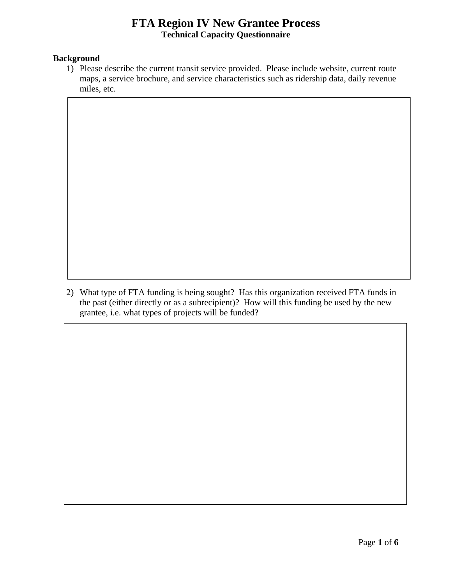## **FTA Region IV New Grantee Process Technical Capacity Questionnaire**

### **Background**

1) Please describe the current transit service provided. Please include website, current route maps, a service brochure, and service characteristics such as ridership data, daily revenue miles, etc.

2) What type of FTA funding is being sought? Has this organization received FTA funds in the past (either directly or as a subrecipient)? How will this funding be used by the new grantee, i.e. what types of projects will be funded?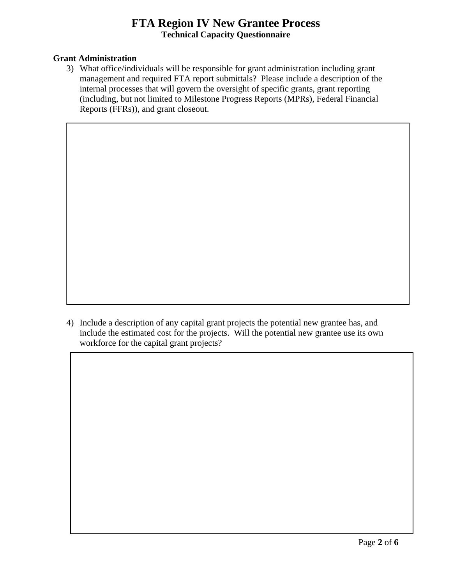## **FTA Region IV New Grantee Process**<br> **Technical Capacity Questionnaire**

### **Grant Administration**

3) What office/individuals will be responsible for grant administration including grant management and required FTA report submittals? Please include a description of the internal processes that will govern the oversight of specific grants, grant reporting (including, but not limited to Milestone Progress Reports (MPRs), Federal Financial Reports (FFRs)), and grant closeout.

workforce for the capital grant projects? 4) Include a description of any capital grant projects the potential new grantee has, and include the estimated cost for the projects. Will the potential new grantee use its own workforce for the capital grant projects? Page **2** of **6**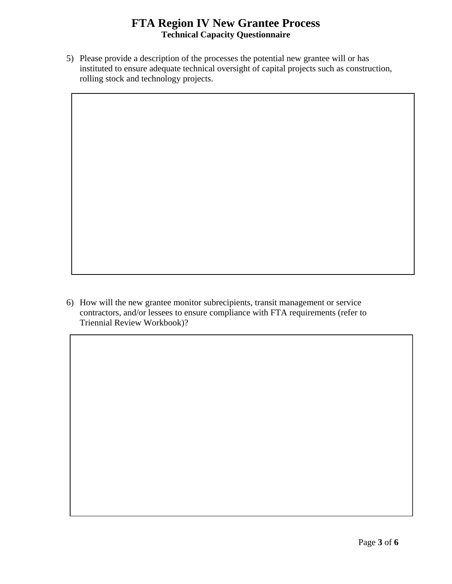## **FTA Region IV New Grantee Process**<br> **Technical Capacity Questionnaire**

5) Please provide a description of the processes the potential new grantee will or has instituted to ensure adequate technical oversight of capital projects such as construction, rolling stock and technology projects.

 Triennial Review Workbook)? 6) How will the new grantee monitor subrecipients, transit management or service contractors, and/or lessees to ensure compliance with FTA requirements (refer to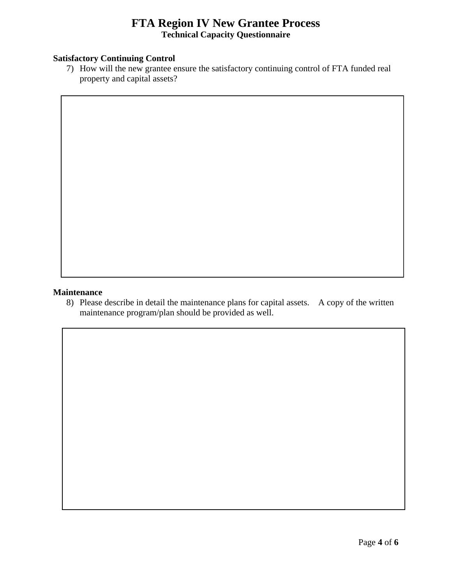## **FTA Region IV New Grantee Process Technical Capacity Questionnaire**

### **Satisfactory Continuing Control**

7) How will the new grantee ensure the satisfactory continuing control of FTA funded real property and capital assets?

### **Maintenance**

8) Please describe in detail the maintenance plans for capital assets. A copy of the written maintenance program/plan should be provided as well.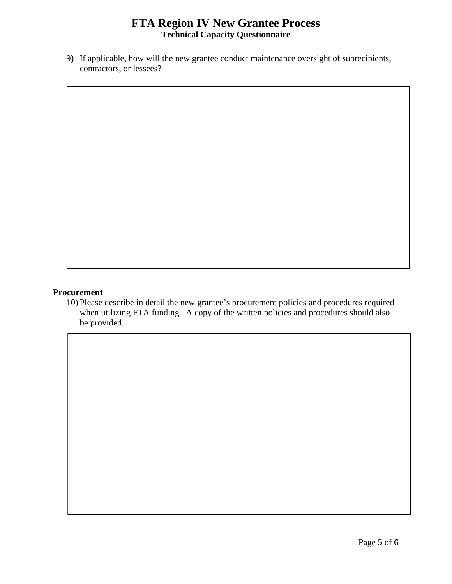## **FTA Region IV New Grantee Process**<br> **Technical Capacity Questionnaire**

 contractors, or lessees? 9) If applicable, how will the new grantee conduct maintenance oversight of subrecipients,

### **Procurement**

10) Please describe in detail the new grantee's procurement policies and procedures required when utilizing FTA funding. A copy of the written policies and procedures should also be provided.